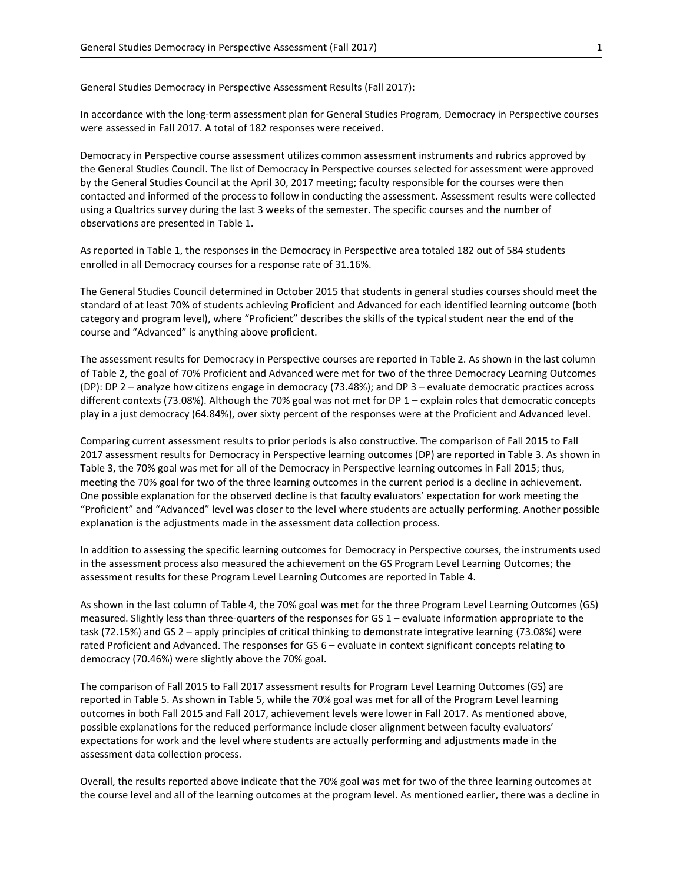General Studies Democracy in Perspective Assessment Results (Fall 2017):

In accordance with the long-term assessment plan for General Studies Program, Democracy in Perspective courses were assessed in Fall 2017. A total of 182 responses were received.

Democracy in Perspective course assessment utilizes common assessment instruments and rubrics approved by the General Studies Council. The list of Democracy in Perspective courses selected for assessment were approved by the General Studies Council at the April 30, 2017 meeting; faculty responsible for the courses were then contacted and informed of the process to follow in conducting the assessment. Assessment results were collected using a Qualtrics survey during the last 3 weeks of the semester. The specific courses and the number of observations are presented in Table 1.

As reported in Table 1, the responses in the Democracy in Perspective area totaled 182 out of 584 students enrolled in all Democracy courses for a response rate of 31.16%.

The General Studies Council determined in October 2015 that students in general studies courses should meet the standard of at least 70% of students achieving Proficient and Advanced for each identified learning outcome (both category and program level), where "Proficient" describes the skills of the typical student near the end of the course and "Advanced" is anything above proficient.

The assessment results for Democracy in Perspective courses are reported in Table 2. As shown in the last column of Table 2, the goal of 70% Proficient and Advanced were met for two of the three Democracy Learning Outcomes (DP): DP 2 – analyze how citizens engage in democracy (73.48%); and DP 3 – evaluate democratic practices across different contexts (73.08%). Although the 70% goal was not met for DP 1 – explain roles that democratic concepts play in a just democracy (64.84%), over sixty percent of the responses were at the Proficient and Advanced level.

Comparing current assessment results to prior periods is also constructive. The comparison of Fall 2015 to Fall 2017 assessment results for Democracy in Perspective learning outcomes (DP) are reported in Table 3. As shown in Table 3, the 70% goal was met for all of the Democracy in Perspective learning outcomes in Fall 2015; thus, meeting the 70% goal for two of the three learning outcomes in the current period is a decline in achievement. One possible explanation for the observed decline is that faculty evaluators' expectation for work meeting the "Proficient" and "Advanced" level was closer to the level where students are actually performing. Another possible explanation is the adjustments made in the assessment data collection process.

In addition to assessing the specific learning outcomes for Democracy in Perspective courses, the instruments used in the assessment process also measured the achievement on the GS Program Level Learning Outcomes; the assessment results for these Program Level Learning Outcomes are reported in Table 4.

As shown in the last column of Table 4, the 70% goal was met for the three Program Level Learning Outcomes (GS) measured. Slightly less than three-quarters of the responses for GS 1 – evaluate information appropriate to the task (72.15%) and GS 2 – apply principles of critical thinking to demonstrate integrative learning (73.08%) were rated Proficient and Advanced. The responses for GS 6 – evaluate in context significant concepts relating to democracy (70.46%) were slightly above the 70% goal.

The comparison of Fall 2015 to Fall 2017 assessment results for Program Level Learning Outcomes (GS) are reported in Table 5. As shown in Table 5, while the 70% goal was met for all of the Program Level learning outcomes in both Fall 2015 and Fall 2017, achievement levels were lower in Fall 2017. As mentioned above, possible explanations for the reduced performance include closer alignment between faculty evaluators' expectations for work and the level where students are actually performing and adjustments made in the assessment data collection process.

Overall, the results reported above indicate that the 70% goal was met for two of the three learning outcomes at the course level and all of the learning outcomes at the program level. As mentioned earlier, there was a decline in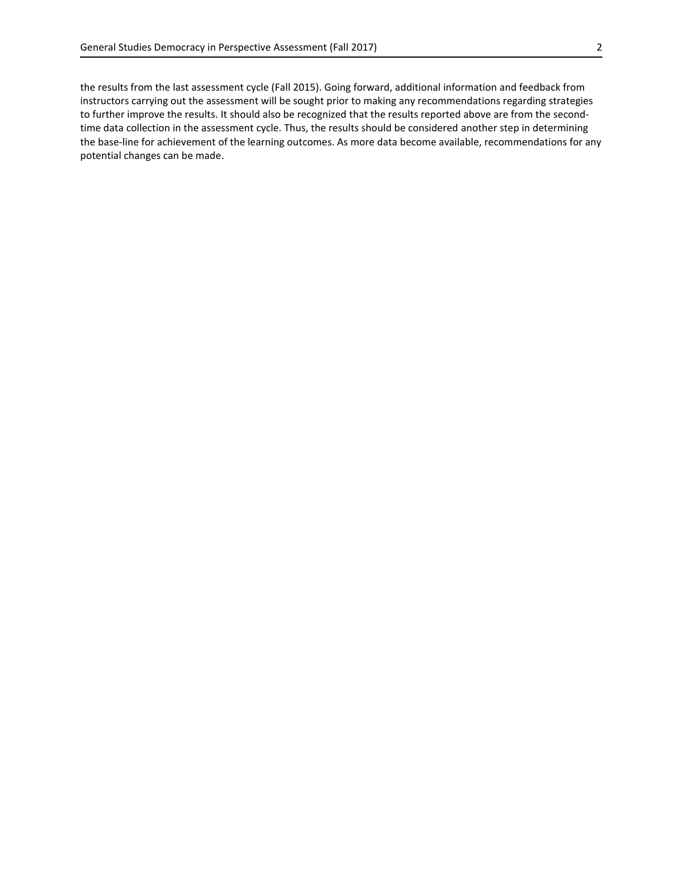the results from the last assessment cycle (Fall 2015). Going forward, additional information and feedback from instructors carrying out the assessment will be sought prior to making any recommendations regarding strategies to further improve the results. It should also be recognized that the results reported above are from the secondtime data collection in the assessment cycle. Thus, the results should be considered another step in determining the base-line for achievement of the learning outcomes. As more data become available, recommendations for any potential changes can be made.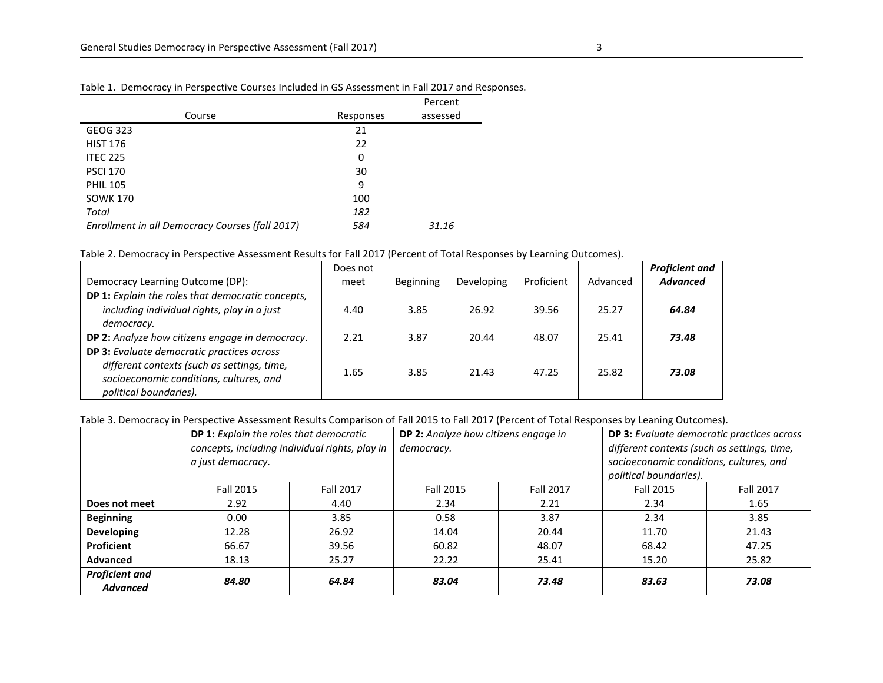|                                                 |           | Percent  |
|-------------------------------------------------|-----------|----------|
| Course                                          | Responses | assessed |
| <b>GEOG 323</b>                                 | 21        |          |
| <b>HIST 176</b>                                 | 22        |          |
| <b>ITEC 225</b>                                 | 0         |          |
| <b>PSCI 170</b>                                 | 30        |          |
| <b>PHIL 105</b>                                 | 9         |          |
| <b>SOWK 170</b>                                 | 100       |          |
| Total                                           | 182       |          |
| Enrollment in all Democracy Courses (fall 2017) | 584       | 31.16    |

## Table 1. Democracy in Perspective Courses Included in GS Assessment in Fall 2017 and Responses.

## Table 2. Democracy in Perspective Assessment Results for Fall 2017 (Percent of Total Responses by Learning Outcomes).

|                                                                                                                                                                | Does not |                  |            |            |          | <b>Proficient and</b> |
|----------------------------------------------------------------------------------------------------------------------------------------------------------------|----------|------------------|------------|------------|----------|-----------------------|
| Democracy Learning Outcome (DP):                                                                                                                               | meet     | <b>Beginning</b> | Developing | Proficient | Advanced | <b>Advanced</b>       |
| DP 1: Explain the roles that democratic concepts,<br>including individual rights, play in a just<br>democracy.                                                 | 4.40     | 3.85             | 26.92      | 39.56      | 25.27    | 64.84                 |
| DP 2: Analyze how citizens engage in democracy.                                                                                                                | 2.21     | 3.87             | 20.44      | 48.07      | 25.41    | 73.48                 |
| DP 3: Evaluate democratic practices across<br>different contexts (such as settings, time,<br>socioeconomic conditions, cultures, and<br>political boundaries). | 1.65     | 3.85             | 21.43      | 47.25      | 25.82    | 73.08                 |

## Table 3. Democracy in Perspective Assessment Results Comparison of Fall 2015 to Fall 2017 (Percent of Total Responses by Leaning Outcomes).

|                                          | DP 1: Explain the roles that democratic<br>concepts, including individual rights, play in<br>a just democracy. |                  | <b>DP 2:</b> Analyze how citizens engage in<br>democracy. |                  | DP 3: Evaluate democratic practices across<br>different contexts (such as settings, time,<br>socioeconomic conditions, cultures, and<br>political boundaries). |                  |  |
|------------------------------------------|----------------------------------------------------------------------------------------------------------------|------------------|-----------------------------------------------------------|------------------|----------------------------------------------------------------------------------------------------------------------------------------------------------------|------------------|--|
|                                          | <b>Fall 2015</b>                                                                                               | <b>Fall 2017</b> | <b>Fall 2015</b>                                          | <b>Fall 2017</b> | Fall 2015                                                                                                                                                      | <b>Fall 2017</b> |  |
| Does not meet                            | 2.92                                                                                                           | 4.40             | 2.34                                                      | 2.21             | 2.34                                                                                                                                                           | 1.65             |  |
| <b>Beginning</b>                         | 0.00                                                                                                           | 3.85             | 0.58                                                      | 3.87             | 2.34                                                                                                                                                           | 3.85             |  |
| <b>Developing</b>                        | 12.28                                                                                                          | 26.92            | 14.04                                                     | 20.44            | 11.70                                                                                                                                                          | 21.43            |  |
| Proficient                               | 66.67                                                                                                          | 39.56            | 60.82                                                     | 48.07            | 68.42                                                                                                                                                          | 47.25            |  |
| Advanced                                 | 18.13                                                                                                          | 25.27            | 22.22                                                     | 25.41            | 15.20                                                                                                                                                          | 25.82            |  |
| <b>Proficient and</b><br><b>Advanced</b> | 84.80                                                                                                          | 64.84            | 83.04                                                     | 73.48            | 83.63                                                                                                                                                          | 73.08            |  |